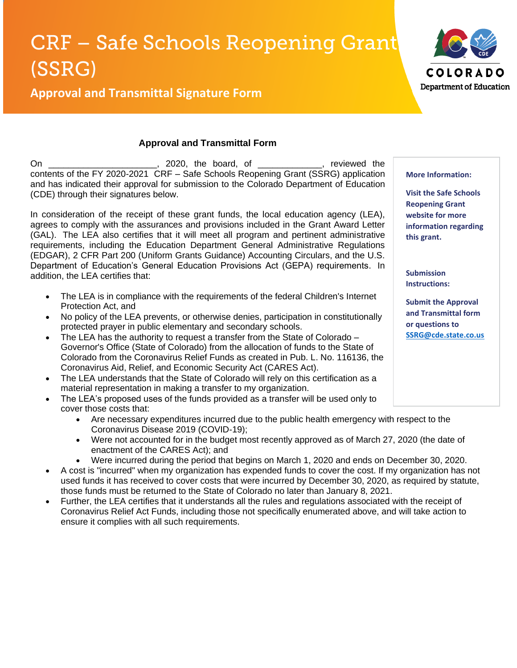## **CRF - Safe Schools Reopening Grant** (SSRG)



**Approval and Transmittal Signature Form**

## **Approval and Transmittal Form**

On \_\_\_\_\_\_\_\_\_\_\_\_\_\_\_\_\_\_\_\_\_\_, 2020, the board, of \_\_\_\_\_\_\_\_\_\_\_\_\_, reviewed the contents of the FY 2020-2021 CRF – Safe Schools Reopening Grant (SSRG) application and has indicated their approval for submission to the Colorado Department of Education (CDE) through their signatures below.

In consideration of the receipt of these grant funds, the local education agency (LEA), agrees to comply with the assurances and provisions included in the Grant Award Letter (GAL). The LEA also certifies that it will meet all program and pertinent administrative requirements, including the Education Department General Administrative Regulations (EDGAR), 2 CFR Part 200 (Uniform Grants Guidance) Accounting Circulars, and the U.S. Department of Education's General Education Provisions Act (GEPA) requirements. In addition, the LEA certifies that:

- The LEA is in compliance with the requirements of the federal Children's Internet Protection Act, and
- No policy of the LEA prevents, or otherwise denies, participation in constitutionally protected prayer in public elementary and secondary schools.
- The LEA has the authority to request a transfer from the State of Colorado Governor's Office (State of Colorado) from the allocation of funds to the State of Colorado from the Coronavirus Relief Funds as created in Pub. L. No. 116136, the Coronavirus Aid, Relief, and Economic Security Act (CARES Act).
- The LEA understands that the State of Colorado will rely on this certification as a material representation in making a transfer to my organization.
- The LEA's proposed uses of the funds provided as a transfer will be used only to cover those costs that:
	- Are necessary expenditures incurred due to the public health emergency with respect to the Coronavirus Disease 2019 (COVID-19);
	- Were not accounted for in the budget most recently approved as of March 27, 2020 (the date of enactment of the CARES Act); and
	- Were incurred during the period that begins on March 1, 2020 and ends on December 30, 2020.
- A cost is "incurred" when my organization has expended funds to cover the cost. If my organization has not used funds it has received to cover costs that were incurred by December 30, 2020, as required by statute, those funds must be returned to the State of Colorado no later than January 8, 2021.
- Further, the LEA certifies that it understands all the rules and regulations associated with the receipt of Coronavirus Relief Act Funds, including those not specifically enumerated above, and will take action to ensure it complies with all such requirements.

**More Information:**

**Visit the Safe Schools Reopening Grant website for more information regarding this grant.** 

**Submission Instructions:** 

**Submit the Approval and Transmittal form or questions to [SSRG@cde.state.co.us](mailto:SSRG@cde.state.co.us)**